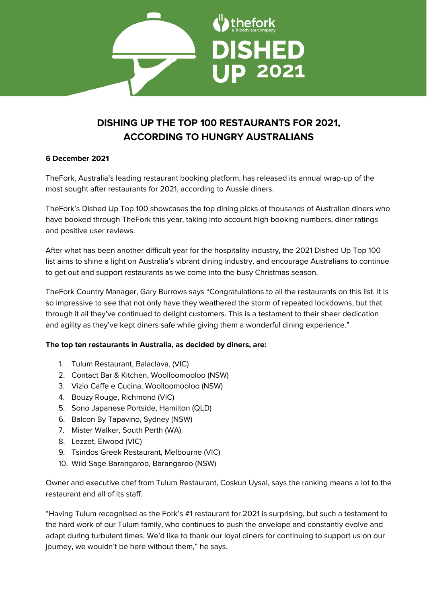

# **DISHING UP THE TOP 100 RESTAURANTS FOR 2021, ACCORDING TO HUNGRY AUSTRALIANS**

# **6 December 2021**

TheFork, Australia's leading restaurant booking platform, has released its annual wrap-up of the most sought after restaurants for 2021, according to Aussie diners.

TheFork's Dished Up Top 100 showcases the top dining picks of thousands of Australian diners who have booked through TheFork this year, taking into account high booking numbers, diner ratings and positive user reviews.

After what has been another difficult year for the hospitality industry, the 2021 Dished Up Top 100 list aims to shine a light on Australia's vibrant dining industry, and encourage Australians to continue to get out and support restaurants as we come into the busy Christmas season.

TheFork Country Manager, Gary Burrows says "Congratulations to all the restaurants on this list. It is so impressive to see that not only have they weathered the storm of repeated lockdowns, but that through it all they've continued to delight customers. This is a testament to their sheer dedication and agility as they've kept diners safe while giving them a wonderful dining experience."

# **The top ten restaurants in Australia, as decided by diners, are:**

- 1. Tulum Restaurant, Balaclava, (VIC)
- 2. Contact Bar & Kitchen, Woolloomooloo (NSW)
- 3. Vizio Caffe e Cucina, Woolloomooloo (NSW)
- 4. Bouzy Rouge, Richmond (VIC)
- 5. Sono Japanese Portside, Hamilton (QLD)
- 6. Balcon By Tapavino, Sydney (NSW)
- 7. Mister Walker, South Perth (WA)
- 8. Lezzet, Elwood (VIC)
- 9. Tsindos Greek Restaurant, Melbourne (VIC)
- 10. Wild Sage Barangaroo, Barangaroo (NSW)

Owner and executive chef from Tulum Restaurant, Coskun Uysal, says the ranking means a lot to the restaurant and all of its staff.

"Having Tulum recognised as the Fork's #1 restaurant for 2021 is surprising, but such a testament to the hard work of our Tulum family, who continues to push the envelope and constantly evolve and adapt during turbulent times. We'd like to thank our loyal diners for continuing to support us on our journey, we wouldn't be here without them," he says.